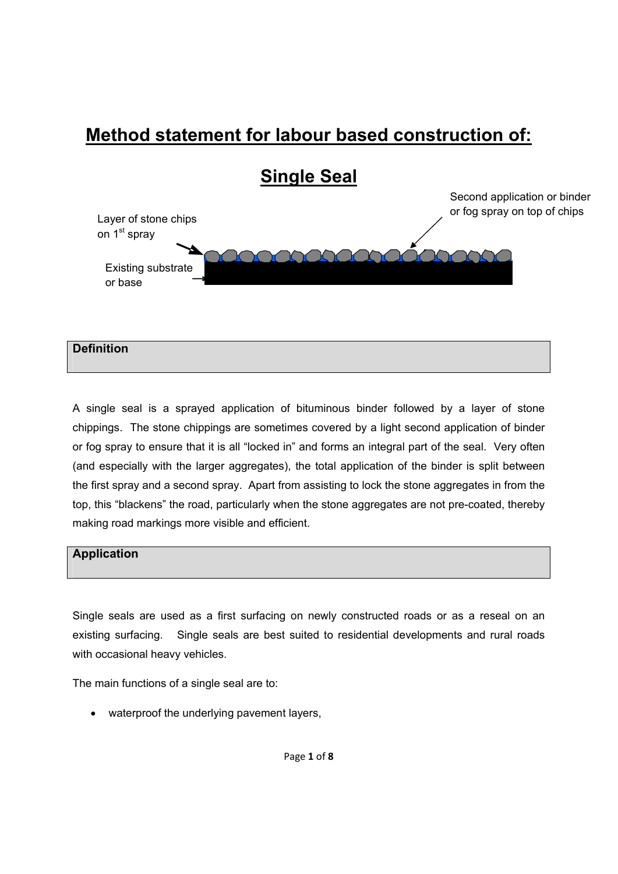# **Method statement for labour based construction of:**



# **Definition**

A single seal is a sprayed application of bituminous binder followed by a layer of stone chippings. The stone chippings are sometimes covered by a light second application of binder or fog spray to ensure that it is all "locked in" and forms an integral part of the seal. Very often (and especially with the larger aggregates), the total application of the binder is split between the first spray and a second spray. Apart from assisting to lock the stone aggregates in from the top, this "blackens" the road, particularly when the stone aggregates are not pre-coated, thereby making road markings more visible and efficient.

#### **Application**

Single seals are used as a first surfacing on newly constructed roads or as a reseal on an existing surfacing. Single seals are best suited to residential developments and rural roads with occasional heavy vehicles.

The main functions of a single seal are to:

• waterproof the underlying pavement layers,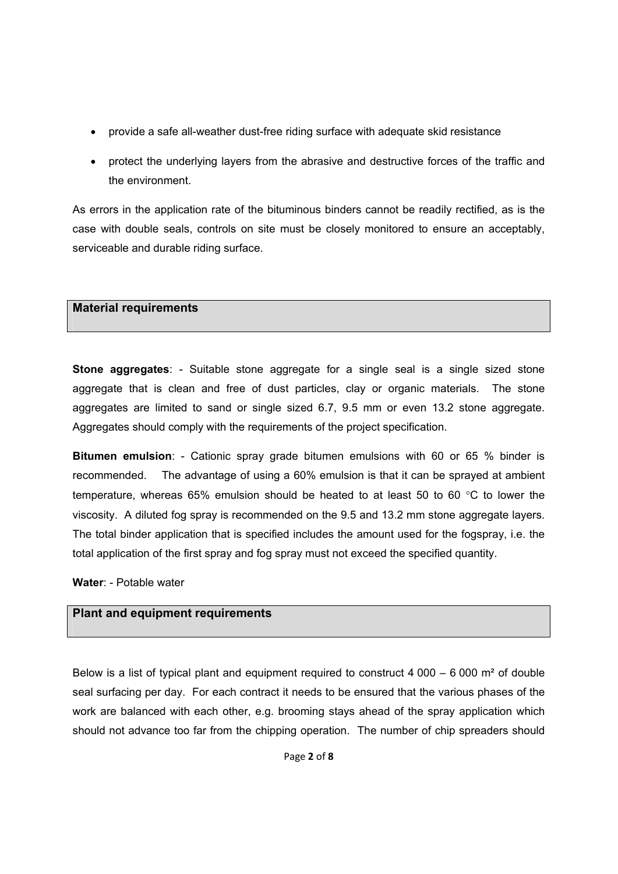- provide a safe all-weather dust-free riding surface with adequate skid resistance
- protect the underlying layers from the abrasive and destructive forces of the traffic and the environment.

As errors in the application rate of the bituminous binders cannot be readily rectified, as is the case with double seals, controls on site must be closely monitored to ensure an acceptably, serviceable and durable riding surface.

#### **Material requirements**

**Stone aggregates**: - Suitable stone aggregate for a single seal is a single sized stone aggregate that is clean and free of dust particles, clay or organic materials. The stone aggregates are limited to sand or single sized 6.7, 9.5 mm or even 13.2 stone aggregate. Aggregates should comply with the requirements of the project specification.

**Bitumen emulsion**: - Cationic spray grade bitumen emulsions with 60 or 65 % binder is recommended. The advantage of using a 60% emulsion is that it can be sprayed at ambient temperature, whereas 65% emulsion should be heated to at least 50 to 60 °C to lower the viscosity. A diluted fog spray is recommended on the 9.5 and 13.2 mm stone aggregate layers. The total binder application that is specified includes the amount used for the fogspray, i.e. the total application of the first spray and fog spray must not exceed the specified quantity.

**Water**: - Potable water

# **Plant and equipment requirements**

Below is a list of typical plant and equipment required to construct 4 000 – 6 000  $\text{m}^2$  of double seal surfacing per day. For each contract it needs to be ensured that the various phases of the work are balanced with each other, e.g. brooming stays ahead of the spray application which should not advance too far from the chipping operation. The number of chip spreaders should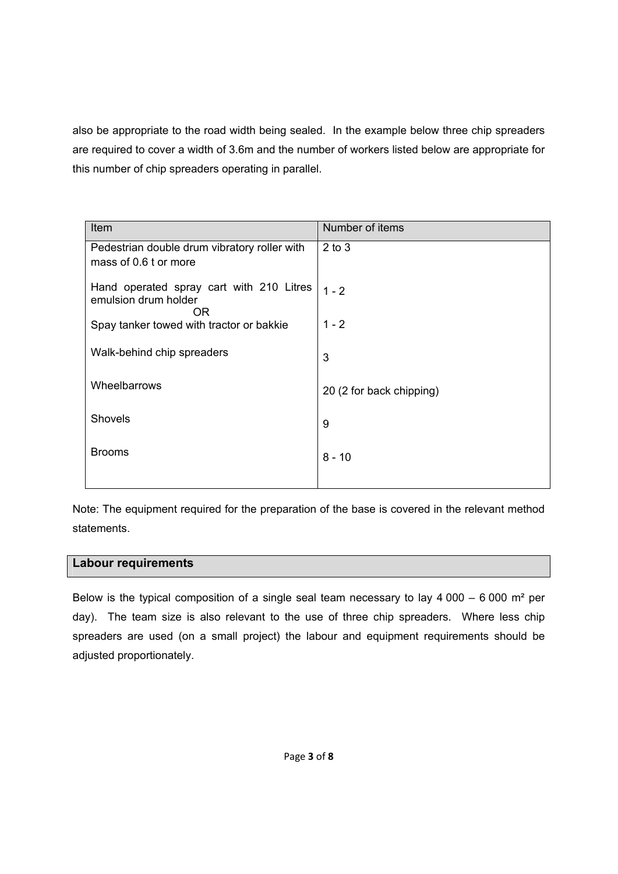also be appropriate to the road width being sealed. In the example below three chip spreaders are required to cover a width of 3.6m and the number of workers listed below are appropriate for this number of chip spreaders operating in parallel.

| Item                                                                   | Number of items          |
|------------------------------------------------------------------------|--------------------------|
| Pedestrian double drum vibratory roller with<br>mass of 0.6 t or more  | $2$ to $3$               |
| Hand operated spray cart with 210 Litres<br>emulsion drum holder<br>0R | $1 - 2$                  |
| Spay tanker towed with tractor or bakkie                               | $1 - 2$                  |
| Walk-behind chip spreaders                                             | 3                        |
| Wheelbarrows                                                           | 20 (2 for back chipping) |
| Shovels                                                                | 9                        |
| <b>Brooms</b>                                                          | $8 - 10$                 |
|                                                                        |                          |

Note: The equipment required for the preparation of the base is covered in the relevant method statements.

#### **Labour requirements**

Below is the typical composition of a single seal team necessary to lay  $4000 - 6000$  m<sup>2</sup> per day). The team size is also relevant to the use of three chip spreaders. Where less chip spreaders are used (on a small project) the labour and equipment requirements should be adjusted proportionately.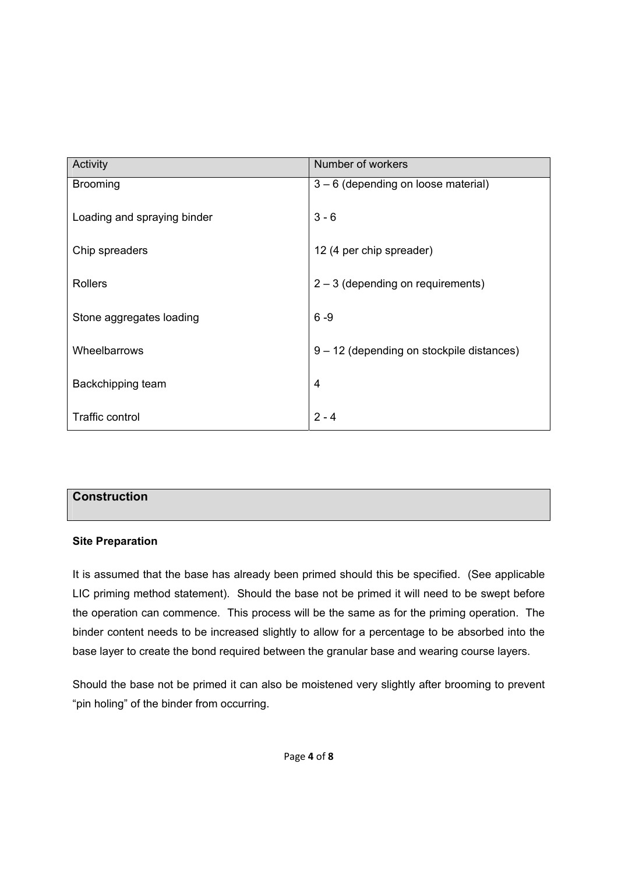| Activity                    | Number of workers                         |
|-----------------------------|-------------------------------------------|
| <b>Brooming</b>             | 3 - 6 (depending on loose material)       |
| Loading and spraying binder | $3 - 6$                                   |
|                             |                                           |
| Chip spreaders              | 12 (4 per chip spreader)                  |
|                             |                                           |
| <b>Rollers</b>              | $2 - 3$ (depending on requirements)       |
| Stone aggregates loading    | $6 - 9$                                   |
| Wheelbarrows                | 9 – 12 (depending on stockpile distances) |
|                             |                                           |
| Backchipping team           | 4                                         |
|                             |                                           |
| <b>Traffic control</b>      | $2 - 4$                                   |

# **Construction**

#### **Site Preparation**

It is assumed that the base has already been primed should this be specified. (See applicable LIC priming method statement). Should the base not be primed it will need to be swept before the operation can commence. This process will be the same as for the priming operation. The binder content needs to be increased slightly to allow for a percentage to be absorbed into the base layer to create the bond required between the granular base and wearing course layers.

Should the base not be primed it can also be moistened very slightly after brooming to prevent "pin holing" of the binder from occurring.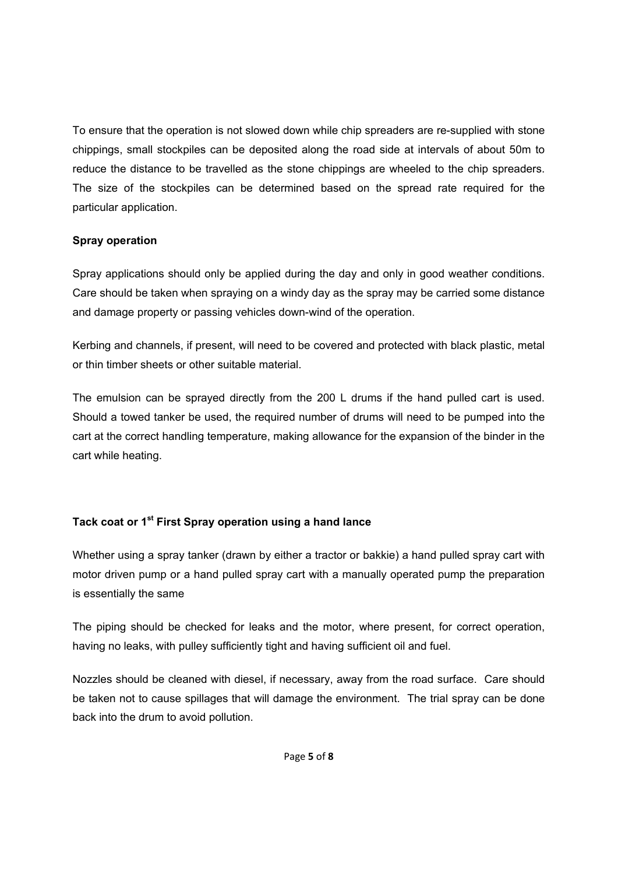To ensure that the operation is not slowed down while chip spreaders are re-supplied with stone chippings, small stockpiles can be deposited along the road side at intervals of about 50m to reduce the distance to be travelled as the stone chippings are wheeled to the chip spreaders. The size of the stockpiles can be determined based on the spread rate required for the particular application.

#### **Spray operation**

Spray applications should only be applied during the day and only in good weather conditions. Care should be taken when spraying on a windy day as the spray may be carried some distance and damage property or passing vehicles down-wind of the operation.

Kerbing and channels, if present, will need to be covered and protected with black plastic, metal or thin timber sheets or other suitable material.

The emulsion can be sprayed directly from the 200 L drums if the hand pulled cart is used. Should a towed tanker be used, the required number of drums will need to be pumped into the cart at the correct handling temperature, making allowance for the expansion of the binder in the cart while heating.

# **Tack coat or 1st First Spray operation using a hand lance**

Whether using a spray tanker (drawn by either a tractor or bakkie) a hand pulled spray cart with motor driven pump or a hand pulled spray cart with a manually operated pump the preparation is essentially the same

The piping should be checked for leaks and the motor, where present, for correct operation, having no leaks, with pulley sufficiently tight and having sufficient oil and fuel.

Nozzles should be cleaned with diesel, if necessary, away from the road surface. Care should be taken not to cause spillages that will damage the environment. The trial spray can be done back into the drum to avoid pollution.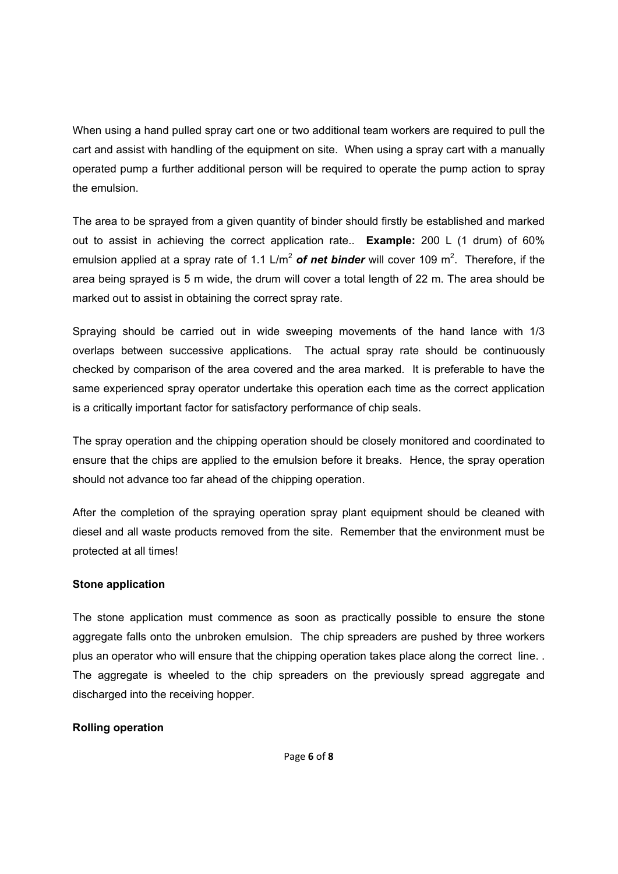When using a hand pulled spray cart one or two additional team workers are required to pull the cart and assist with handling of the equipment on site. When using a spray cart with a manually operated pump a further additional person will be required to operate the pump action to spray the emulsion.

The area to be sprayed from a given quantity of binder should firstly be established and marked out to assist in achieving the correct application rate.. **Example:** 200 L (1 drum) of 60% emulsion applied at a spray rate of 1.1 L/m<sup>2</sup> of net binder will cover 109 m<sup>2</sup>. Therefore, if the area being sprayed is 5 m wide, the drum will cover a total length of 22 m. The area should be marked out to assist in obtaining the correct spray rate.

Spraying should be carried out in wide sweeping movements of the hand lance with 1/3 overlaps between successive applications. The actual spray rate should be continuously checked by comparison of the area covered and the area marked. It is preferable to have the same experienced spray operator undertake this operation each time as the correct application is a critically important factor for satisfactory performance of chip seals.

The spray operation and the chipping operation should be closely monitored and coordinated to ensure that the chips are applied to the emulsion before it breaks. Hence, the spray operation should not advance too far ahead of the chipping operation.

After the completion of the spraying operation spray plant equipment should be cleaned with diesel and all waste products removed from the site. Remember that the environment must be protected at all times!

#### **Stone application**

The stone application must commence as soon as practically possible to ensure the stone aggregate falls onto the unbroken emulsion. The chip spreaders are pushed by three workers plus an operator who will ensure that the chipping operation takes place along the correct line. . The aggregate is wheeled to the chip spreaders on the previously spread aggregate and discharged into the receiving hopper.

# **Rolling operation**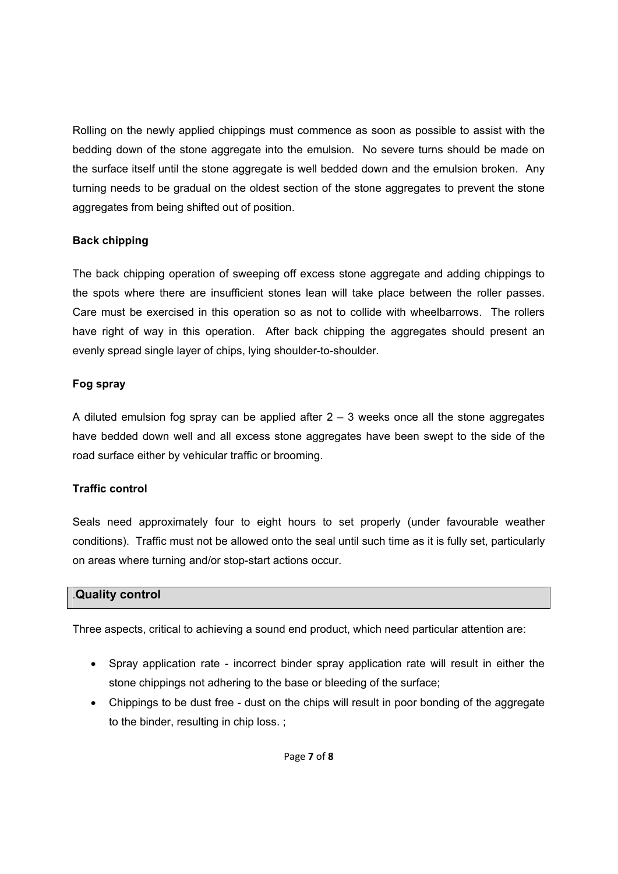Rolling on the newly applied chippings must commence as soon as possible to assist with the bedding down of the stone aggregate into the emulsion. No severe turns should be made on the surface itself until the stone aggregate is well bedded down and the emulsion broken. Any turning needs to be gradual on the oldest section of the stone aggregates to prevent the stone aggregates from being shifted out of position.

# **Back chipping**

The back chipping operation of sweeping off excess stone aggregate and adding chippings to the spots where there are insufficient stones lean will take place between the roller passes. Care must be exercised in this operation so as not to collide with wheelbarrows. The rollers have right of way in this operation. After back chipping the aggregates should present an evenly spread single layer of chips, lying shoulder-to-shoulder.

#### **Fog spray**

A diluted emulsion fog spray can be applied after  $2 - 3$  weeks once all the stone aggregates have bedded down well and all excess stone aggregates have been swept to the side of the road surface either by vehicular traffic or brooming.

# **Traffic control**

Seals need approximately four to eight hours to set properly (under favourable weather conditions). Traffic must not be allowed onto the seal until such time as it is fully set, particularly on areas where turning and/or stop-start actions occur.

# .**Quality control**

Three aspects, critical to achieving a sound end product, which need particular attention are:

- Spray application rate incorrect binder spray application rate will result in either the stone chippings not adhering to the base or bleeding of the surface;
- Chippings to be dust free dust on the chips will result in poor bonding of the aggregate to the binder, resulting in chip loss. ;